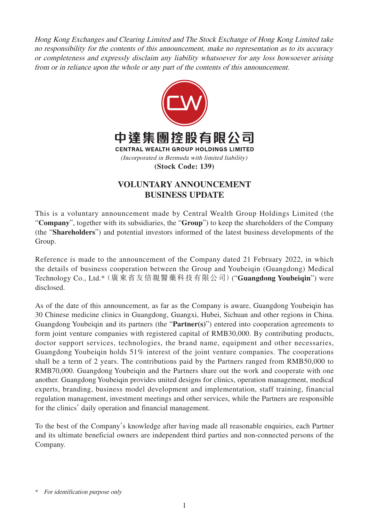Hong Kong Exchanges and Clearing Limited and The Stock Exchange of Hong Kong Limited take no responsibility for the contents of this announcement, make no representation as to its accuracy or completeness and expressly disclaim any liability whatsoever for any loss howsoever arising from or in reliance upon the whole or any part of the contents of this announcement.



## **VOLUNTARY ANNOUNCEMENT BUSINESS UPDATE**

This is a voluntary announcement made by Central Wealth Group Holdings Limited (the "**Company**", together with its subsidiaries, the "**Group**") to keep the shareholders of the Company (the "**Shareholders**") and potential investors informed of the latest business developments of the Group.

Reference is made to the announcement of the Company dated 21 February 2022, in which the details of business cooperation between the Group and Youbeiqin (Guangdong) Medical Technology Co., Ltd.\*(廣東省友倍親醫藥科技有限公司)("**Guangdong Youbeiqin**") were disclosed.

As of the date of this announcement, as far as the Company is aware, Guangdong Youbeiqin has 30 Chinese medicine clinics in Guangdong, Guangxi, Hubei, Sichuan and other regions in China. Guangdong Youbeiqin and its partners (the "**Partner(s)**") entered into cooperation agreements to form joint venture companies with registered capital of RMB30,000. By contributing products, doctor support services, technologies, the brand name, equipment and other necessaries, Guangdong Youbeiqin holds 51% interest of the joint venture companies. The cooperations shall be a term of 2 years. The contributions paid by the Partners ranged from RMB50,000 to RMB70,000. Guangdong Youbeiqin and the Partners share out the work and cooperate with one another. Guangdong Youbeiqin provides united designs for clinics, operation management, medical experts, branding, business model development and implementation, staff training, financial regulation management, investment meetings and other services, while the Partners are responsible for the clinics' daily operation and financial management.

To the best of the Company's knowledge after having made all reasonable enquiries, each Partner and its ultimate beneficial owners are independent third parties and non-connected persons of the Company.

<sup>\*</sup> For identification purpose only